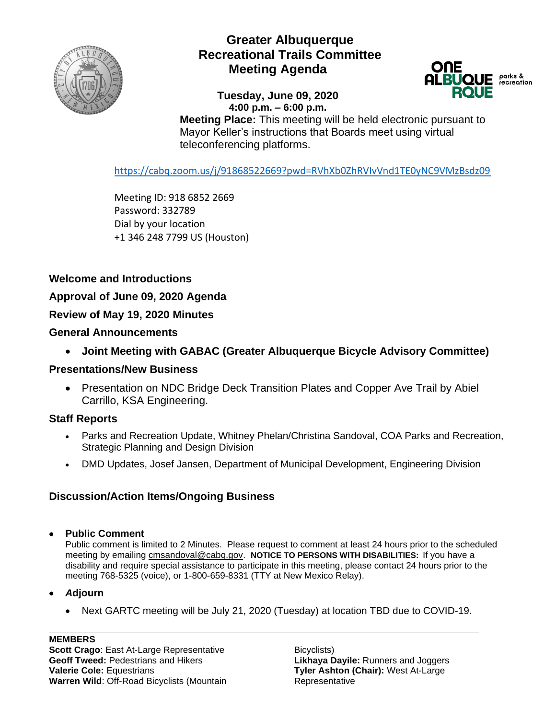

# **Greater Albuquerque Recreational Trails Committee Meeting Agenda**

#### **Tuesday, June 09, 2020 4:00 p.m. – 6:00 p.m.**



**Meeting Place:** This meeting will be held electronic pursuant to Mayor Keller's instructions that Boards meet using virtual teleconferencing platforms.

<https://cabq.zoom.us/j/91868522669?pwd=RVhXb0ZhRVIvVnd1TE0yNC9VMzBsdz09>

Meeting ID: 918 6852 2669 Password: 332789 Dial by your location +1 346 248 7799 US (Houston)

### **Welcome and Introductions**

**Approval of June 09, 2020 Agenda**

**Review of May 19, 2020 Minutes**

#### **General Announcements**

• **Joint Meeting with GABAC (Greater Albuquerque Bicycle Advisory Committee)**

#### **Presentations/New Business**

• Presentation on NDC Bridge Deck Transition Plates and Copper Ave Trail by Abiel Carrillo, KSA Engineering.

### **Staff Reports**

- Parks and Recreation Update, Whitney Phelan/Christina Sandoval, COA Parks and Recreation, Strategic Planning and Design Division
- DMD Updates, Josef Jansen, Department of Municipal Development, Engineering Division

## **Discussion/Action Items/Ongoing Business**

#### • **Public Comment**

Public comment is limited to 2 Minutes. Please request to comment at least 24 hours prior to the scheduled meeting by emailing [cmsandoval@cabq.gov.](mailto:cmsandoval@cabq.gov) **NOTICE TO PERSONS WITH DISABILITIES:** If you have a disability and require special assistance to participate in this meeting, please contact 24 hours prior to the meeting 768-5325 (voice), or 1-800-659-8331 (TTY at New Mexico Relay).

#### • *A***djourn**

• Next GARTC meeting will be July 21, 2020 (Tuesday) at location TBD due to COVID-19.

**\_\_\_\_\_\_\_\_\_\_\_\_\_\_\_\_\_\_\_\_\_\_\_\_\_\_\_\_\_\_\_\_\_\_\_\_\_\_\_\_\_\_\_\_\_\_\_\_\_\_\_\_\_\_\_\_\_\_\_\_\_\_\_\_\_\_\_\_\_\_\_**

**MEMBERS Scott Crago**: East At-Large Representative **Geoff Tweed:** Pedestrians and Hikers **Valerie Cole:** Equestrians **Warren Wild**: Off-Road Bicyclists (Mountain

Bicyclists) **Likhaya Dayile:** Runners and Joggers **Tyler Ashton (Chair):** West At-Large Representative